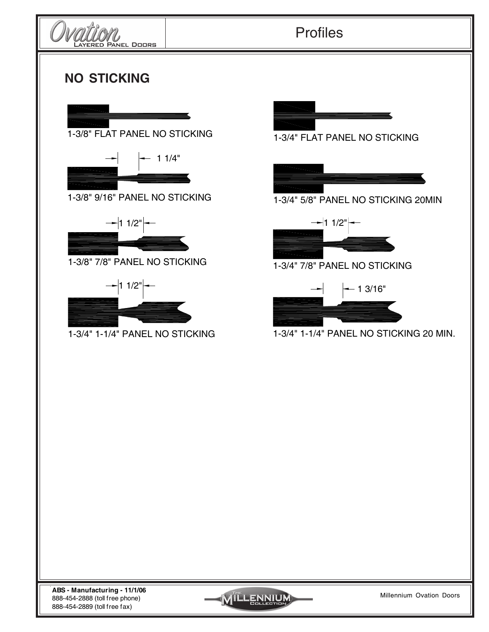

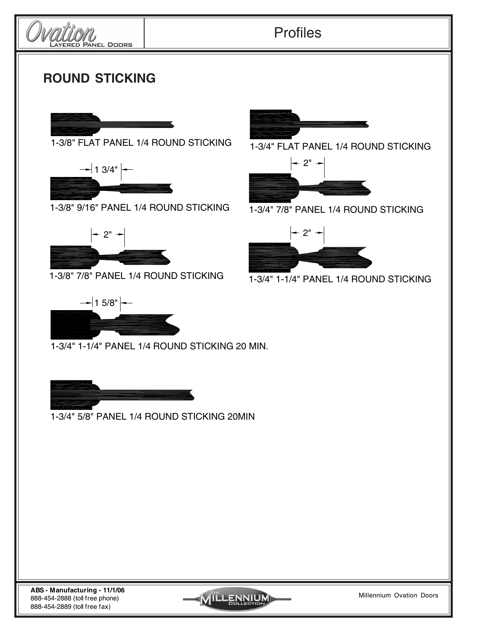

1-3/4" 5/8" PANEL 1/4 ROUND STICKING 20MIN